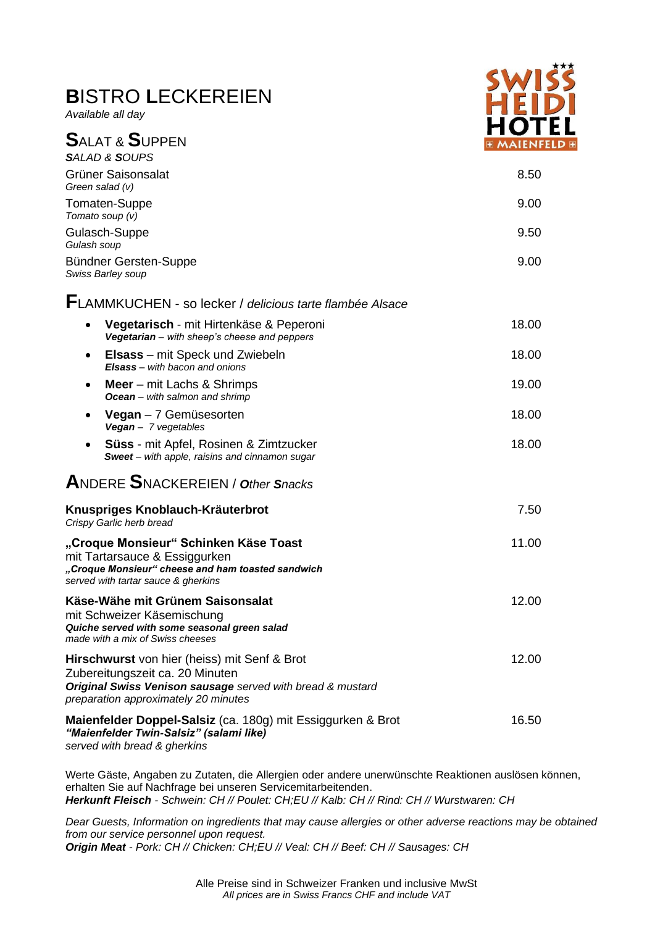## **B**ISTRO **L**ECKEREIEN

*Available all day*



| <b>SALAT &amp; SUPPEN</b>                                                                                                                                                             | .<br><b>EMAIENFE</b> |
|---------------------------------------------------------------------------------------------------------------------------------------------------------------------------------------|----------------------|
| <b>SALAD &amp; SOUPS</b>                                                                                                                                                              |                      |
| Grüner Saisonsalat<br>Green salad (v)                                                                                                                                                 | 8.50                 |
| Tomaten-Suppe<br>Tomato soup $(v)$                                                                                                                                                    | 9.00                 |
| Gulasch-Suppe<br>Gulash soup                                                                                                                                                          | 9.50                 |
| Bündner Gersten-Suppe<br>Swiss Barley soup                                                                                                                                            | 9.00                 |
| FLAMMKUCHEN - so lecker / delicious tarte flambée Alsace                                                                                                                              |                      |
| Vegetarisch - mit Hirtenkäse & Peperoni<br>Vegetarian - with sheep's cheese and peppers                                                                                               | 18.00                |
| <b>Elsass</b> – mit Speck und Zwiebeln<br>٠<br>Elsass - with bacon and onions                                                                                                         | 18.00                |
| <b>Meer</b> – mit Lachs & Shrimps<br>٠<br><b>Ocean</b> – with salmon and shrimp                                                                                                       | 19.00                |
| <b>Vegan</b> $-7$ Gemüsesorten<br>Vegan - 7 vegetables                                                                                                                                | 18.00                |
| <b>Süss</b> - mit Apfel, Rosinen & Zimtzucker<br>Sweet - with apple, raisins and cinnamon sugar                                                                                       | 18.00                |
| <b>ANDERE SNACKEREIEN / Other Snacks</b>                                                                                                                                              |                      |
| Knuspriges Knoblauch-Kräuterbrot<br>Crispy Garlic herb bread                                                                                                                          | 7.50                 |
| "Croque Monsieur" Schinken Käse Toast<br>mit Tartarsauce & Essiggurken<br>"Croque Monsieur" cheese and ham toasted sandwich<br>served with tartar sauce & gherkins                    | 11.00                |
| Käse-Wähe mit Grünem Saisonsalat<br>mit Schweizer Käsemischung<br>Quiche served with some seasonal green salad<br>made with a mix of Swiss cheeses                                    | 12.00                |
| Hirschwurst von hier (heiss) mit Senf & Brot<br>Zubereitungszeit ca. 20 Minuten<br>Original Swiss Venison sausage served with bread & mustard<br>preparation approximately 20 minutes | 12.00                |
| Maienfelder Doppel-Salsiz (ca. 180g) mit Essiggurken & Brot<br>"Maienfelder Twin-Salsiz" (salami like)<br>served with bread & gherkins                                                | 16.50                |

Werte Gäste, Angaben zu Zutaten, die Allergien oder andere unerwünschte Reaktionen auslösen können, erhalten Sie auf Nachfrage bei unseren Servicemitarbeitenden. *Herkunft Fleisch - Schwein: CH // Poulet: CH;EU // Kalb: CH // Rind: CH // Wurstwaren: CH*

*Dear Guests, Information on ingredients that may cause allergies or other adverse reactions may be obtained from our service personnel upon request. Origin Meat - Pork: CH // Chicken: CH;EU // Veal: CH // Beef: CH // Sausages: CH*